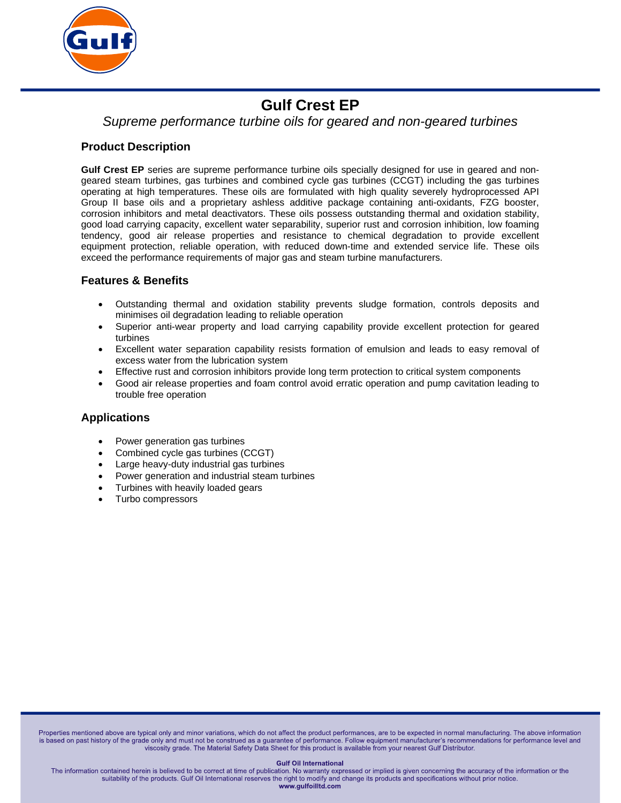

# **Gulf Crest EP**

# *Supreme performance turbine oils for geared and non-geared turbines*

### **Product Description**

**Gulf Crest EP** series are supreme performance turbine oils specially designed for use in geared and nongeared steam turbines, gas turbines and combined cycle gas turbines (CCGT) including the gas turbines operating at high temperatures. These oils are formulated with high quality severely hydroprocessed API Group II base oils and a proprietary ashless additive package containing anti-oxidants, FZG booster, corrosion inhibitors and metal deactivators. These oils possess outstanding thermal and oxidation stability, good load carrying capacity, excellent water separability, superior rust and corrosion inhibition, low foaming tendency, good air release properties and resistance to chemical degradation to provide excellent equipment protection, reliable operation, with reduced down-time and extended service life. These oils exceed the performance requirements of major gas and steam turbine manufacturers.

### **Features & Benefits**

- Outstanding thermal and oxidation stability prevents sludge formation, controls deposits and minimises oil degradation leading to reliable operation
- Superior anti-wear property and load carrying capability provide excellent protection for geared turbines
- Excellent water separation capability resists formation of emulsion and leads to easy removal of excess water from the lubrication system
- Effective rust and corrosion inhibitors provide long term protection to critical system components
- Good air release properties and foam control avoid erratic operation and pump cavitation leading to trouble free operation

#### **Applications**

- Power generation gas turbines
- Combined cycle gas turbines (CCGT)
- Large heavy-duty industrial gas turbines
- Power generation and industrial steam turbines
- Turbines with heavily loaded gears
- Turbo compressors

Properties mentioned above are typical only and minor variations, which do not affect the product performances, are to be expected in normal manufacturing. The above information is based on past history of the grade only and must not be construed as a guarantee of performance. Follow equipment manufacturer's recommendations for performance level and viscosity grade. The Material Safety Data Sheet for this product is available from your nearest Gulf Distributor.

#### **Gulf Oil International**

The information contained herein is believed to be correct at time of publication. No warranty expressed or implied is given concerning the accuracy of the information or the suitability of the products. Gulf Oil International reserves the right to modify and change its products and specifications without prior notice. www.gulfoilltd.com